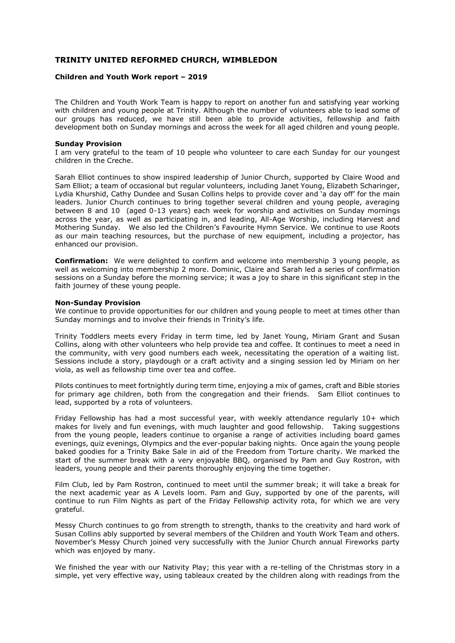## **TRINITY UNITED REFORMED CHURCH, WIMBLEDON**

## **Children and Youth Work report – 2019**

The Children and Youth Work Team is happy to report on another fun and satisfying year working with children and young people at Trinity. Although the number of volunteers able to lead some of our groups has reduced, we have still been able to provide activities, fellowship and faith development both on Sunday mornings and across the week for all aged children and young people.

## **Sunday Provision**

I am very grateful to the team of 10 people who volunteer to care each Sunday for our youngest children in the Creche.

Sarah Elliot continues to show inspired leadership of Junior Church, supported by Claire Wood and Sam Elliot; a team of occasional but regular volunteers, including Janet Young, Elizabeth Scharinger, Lydia Khurshid, Cathy Dundee and Susan Collins helps to provide cover and 'a day off' for the main leaders. Junior Church continues to bring together several children and young people, averaging between 8 and 10 (aged 0-13 years) each week for worship and activities on Sunday mornings across the year, as well as participating in, and leading, All-Age Worship, including Harvest and Mothering Sunday. We also led the Children's Favourite Hymn Service. We continue to use Roots as our main teaching resources, but the purchase of new equipment, including a projector, has enhanced our provision.

**Confirmation:** We were delighted to confirm and welcome into membership 3 young people, as well as welcoming into membership 2 more. Dominic, Claire and Sarah led a series of confirmation sessions on a Sunday before the morning service; it was a joy to share in this significant step in the faith journey of these young people.

## **Non-Sunday Provision**

We continue to provide opportunities for our children and young people to meet at times other than Sunday mornings and to involve their friends in Trinity's life.

Trinity Toddlers meets every Friday in term time, led by Janet Young, Miriam Grant and Susan Collins, along with other volunteers who help provide tea and coffee. It continues to meet a need in the community, with very good numbers each week, necessitating the operation of a waiting list. Sessions include a story, playdough or a craft activity and a singing session led by Miriam on her viola, as well as fellowship time over tea and coffee.

Pilots continues to meet fortnightly during term time, enjoying a mix of games, craft and Bible stories for primary age children, both from the congregation and their friends. Sam Elliot continues to lead, supported by a rota of volunteers.

Friday Fellowship has had a most successful year, with weekly attendance regularly 10+ which makes for lively and fun evenings, with much laughter and good fellowship. Taking suggestions from the young people, leaders continue to organise a range of activities including board games evenings, quiz evenings, Olympics and the ever-popular baking nights. Once again the young people baked goodies for a Trinity Bake Sale in aid of the Freedom from Torture charity. We marked the start of the summer break with a very enjoyable BBQ, organised by Pam and Guy Rostron, with leaders, young people and their parents thoroughly enjoying the time together.

Film Club, led by Pam Rostron, continued to meet until the summer break; it will take a break for the next academic year as A Levels loom. Pam and Guy, supported by one of the parents, will continue to run Film Nights as part of the Friday Fellowship activity rota, for which we are very grateful.

Messy Church continues to go from strength to strength, thanks to the creativity and hard work of Susan Collins ably supported by several members of the Children and Youth Work Team and others. November's Messy Church joined very successfully with the Junior Church annual Fireworks party which was enjoyed by many.

We finished the year with our Nativity Play; this year with a re-telling of the Christmas story in a simple, yet very effective way, using tableaux created by the children along with readings from the